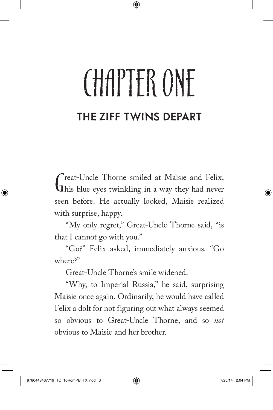## CHAPTFR ONE THE ZIFF TWINS DEPART

Great-Uncle Thorne smiled at Maisie and Felix,<br>This blue eyes twinkling in a way they had never reat-Uncle Thorne smiled at Maisie and Felix, seen before. He actually looked, Maisie realized with surprise, happy.

"My only regret," Great-Uncle Thorne said, "is that I cannot go with you."

"Go?" Felix asked, immediately anxious. "Go where?"

Great-Uncle Thorne's smile widened.

"Why, to Imperial Russia," he said, surprising Maisie once again. Ordinarily, he would have called Felix a dolt for not figuring out what always seemed so obvious to Great-Uncle Thorne, and so *not*  obvious to Maisie and her brother.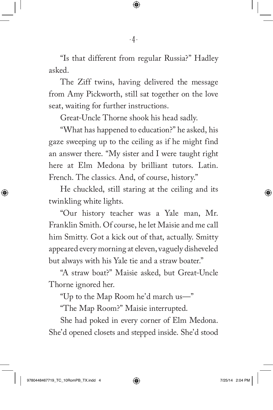"Is that different from regular Russia?" Hadley asked.

The Ziff twins, having delivered the message from Amy Pickworth, still sat together on the love seat, waiting for further instructions.

Great-Uncle Thorne shook his head sadly.

"What has happened to education?" he asked, his gaze sweeping up to the ceiling as if he might find an answer there. "My sister and I were taught right here at Elm Medona by brilliant tutors. Latin. French. The classics. And, of course, history."

He chuckled, still staring at the ceiling and its twinkling white lights.

"Our history teacher was a Yale man, Mr. Franklin Smith. Of course, he let Maisie and me call him Smitty. Got a kick out of that, actually. Smitty appeared every morning at eleven, vaguely disheveled but always with his Yale tie and a straw boater."

"A straw boat?" Maisie asked, but Great-Uncle Thorne ignored her.

"Up to the Map Room he'd march us—"

"The Map Room?" Maisie interrupted.

She had poked in every corner of Elm Medona. She'd opened closets and stepped inside. She'd stood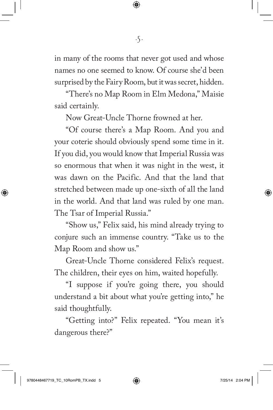in many of the rooms that never got used and whose names no one seemed to know. Of course she'd been surprised by the Fairy Room, but it was secret, hidden.

"There's no Map Room in Elm Medona," Maisie said certainly.

Now Great-Uncle Thorne frowned at her.

"Of course there's a Map Room. And you and your coterie should obviously spend some time in it. If you did, you would know that Imperial Russia was so enormous that when it was night in the west, it was dawn on the Pacific. And that the land that stretched between made up one-sixth of all the land in the world. And that land was ruled by one man. The Tsar of Imperial Russia."

"Show us," Felix said, his mind already trying to conjure such an immense country. "Take us to the Map Room and show us."

Great-Uncle Thorne considered Felix's request. The children, their eyes on him, waited hopefully.

"I suppose if you're going there, you should understand a bit about what you're getting into," he said thoughtfully.

"Getting into?" Felix repeated. "You mean it's dangerous there?"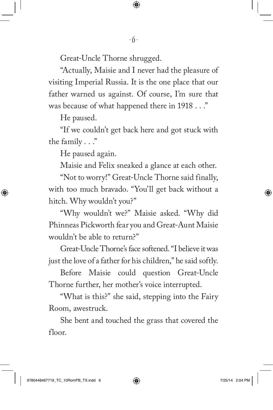Great-Uncle Thorne shrugged.

"Actually, Maisie and I never had the pleasure of visiting Imperial Russia. It is the one place that our father warned us against. Of course, I'm sure that was because of what happened there in 1918 . . ."

He paused.

"If we couldn't get back here and got stuck with the family . . ."

He paused again.

Maisie and Felix sneaked a glance at each other.

"Not to worry!" Great-Uncle Thorne said finally, with too much bravado. "You'll get back without a hitch. Why wouldn't you?"

"Why wouldn't we?" Maisie asked. "Why did Phinneas Pickworth fear you and Great-Aunt Maisie wouldn't be able to return?"

Great-Uncle Thorne's face softened. "I believe it was just the love of a father for his children," he said softly.

Before Maisie could question Great-Uncle Thorne further, her mother's voice interrupted.

"What is this?" she said, stepping into the Fairy Room, awestruck.

She bent and touched the grass that covered the floor.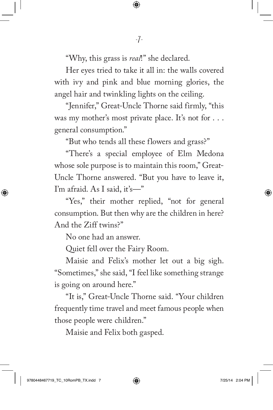"Why, this grass is *real*!" she declared.

Her eyes tried to take it all in: the walls covered with ivy and pink and blue morning glories, the angel hair and twinkling lights on the ceiling.

"Jennifer," Great-Uncle Thorne said firmly, "this was my mother's most private place. It's not for . . . general consumption."

"But who tends all these flowers and grass?"

"There's a special employee of Elm Medona whose sole purpose is to maintain this room," Great-Uncle Thorne answered. "But you have to leave it, I'm afraid. As I said, it's—"

"Yes," their mother replied, "not for general consumption. But then why are the children in here? And the Ziff twins?"

No one had an answer.

Quiet fell over the Fairy Room.

Maisie and Felix's mother let out a big sigh. "Sometimes," she said, "I feel like something strange is going on around here."

"It is," Great-Uncle Thorne said. "Your children frequently time travel and meet famous people when those people were children."

Maisie and Felix both gasped.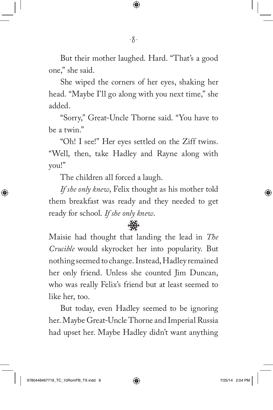But their mother laughed. Hard. "That's a good one," she said.

She wiped the corners of her eyes, shaking her head. "Maybe I'll go along with you next time," she added.

"Sorry," Great-Uncle Thorne said. "You have to be a twin."

"Oh! I see!" Her eyes settled on the Ziff twins. "Well, then, take Hadley and Rayne along with you!"

The children all forced a laugh.

*If she only knew*, Felix thought as his mother told them breakfast was ready and they needed to get ready for school. *If she only knew*.

Maisie had thought that landing the lead in *The Crucible* would skyrocket her into popularity. But nothing seemed to change. Instead, Hadley remained her only friend. Unless she counted Jim Duncan, who was really Felix's friend but at least seemed to like her, too.

But today, even Hadley seemed to be ignoring her. Maybe Great-Uncle Thorne and Imperial Russia had upset her. Maybe Hadley didn't want anything

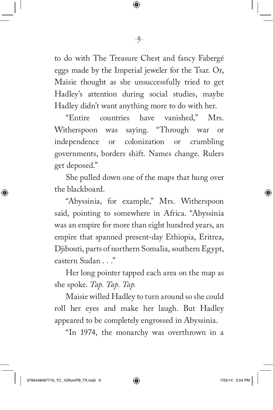to do with The Treasure Chest and fancy Fabergé eggs made by the Imperial jeweler for the Tsar. Or, Maisie thought as she unsuccessfully tried to get Hadley's attention during social studies, maybe Hadley didn't want anything more to do with her.

-9-

"Entire countries have vanished," Mrs. Witherspoon was saying. "Through war or independence or colonization or crumbling governments, borders shift. Names change. Rulers get deposed."

She pulled down one of the maps that hung over the blackboard.

"Abyssinia, for example," Mrs. Witherspoon said, pointing to somewhere in Africa. "Abyssinia was an empire for more than eight hundred years, an empire that spanned present-day Ethiopia, Eritrea, Djibouti, parts of northern Somalia, southern Egypt, eastern Sudan . . ."

Her long pointer tapped each area on the map as she spoke. *Tap. Tap. Tap.*

Maisie willed Hadley to turn around so she could roll her eyes and make her laugh. But Hadley appeared to be completely engrossed in Abyssinia.

"In 1974, the monarchy was overthrown in a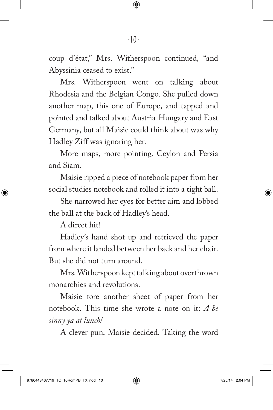coup d'état," Mrs. Witherspoon continued, "and Abyssinia ceased to exist."

Mrs. Witherspoon went on talking about Rhodesia and the Belgian Congo. She pulled down another map, this one of Europe, and tapped and pointed and talked about Austria-Hungary and East Germany, but all Maisie could think about was why Hadley Ziff was ignoring her.

More maps, more pointing. Ceylon and Persia and Siam.

Maisie ripped a piece of notebook paper from her social studies notebook and rolled it into a tight ball.

She narrowed her eyes for better aim and lobbed the ball at the back of Hadley's head.

A direct hit!

Hadley's hand shot up and retrieved the paper from where it landed between her back and her chair. But she did not turn around.

Mrs. Witherspoon kept talking about overthrown monarchies and revolutions.

Maisie tore another sheet of paper from her notebook. This time she wrote a note on it: *A be sinny ya at lunch!*

A clever pun, Maisie decided. Taking the word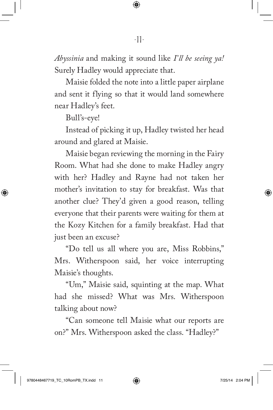*Abyssinia* and making it sound like *I'll be seeing ya!* Surely Hadley would appreciate that.

Maisie folded the note into a little paper airplane and sent it flying so that it would land somewhere near Hadley's feet.

Bull's-eye!

Instead of picking it up, Hadley twisted her head around and glared at Maisie.

Maisie began reviewing the morning in the Fairy Room. What had she done to make Hadley angry with her? Hadley and Rayne had not taken her mother's invitation to stay for breakfast. Was that another clue? They'd given a good reason, telling everyone that their parents were waiting for them at the Kozy Kitchen for a family breakfast. Had that just been an excuse?

"Do tell us all where you are, Miss Robbins," Mrs. Witherspoon said, her voice interrupting Maisie's thoughts.

"Um," Maisie said, squinting at the map. What had she missed? What was Mrs. Witherspoon talking about now?

"Can someone tell Maisie what our reports are on?" Mrs. Witherspoon asked the class. "Hadley?"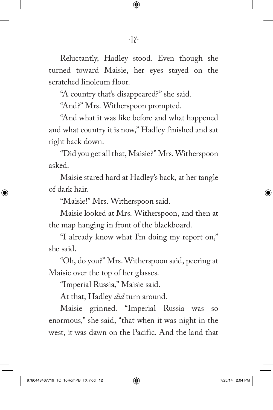Reluctantly, Hadley stood. Even though she turned toward Maisie, her eyes stayed on the scratched linoleum floor.

"A country that's disappeared?" she said.

"And?" Mrs. Witherspoon prompted.

"And what it was like before and what happened and what country it is now," Hadley finished and sat right back down.

"Did you get all that, Maisie?" Mrs. Witherspoon asked.

Maisie stared hard at Hadley's back, at her tangle of dark hair.

"Maisie!" Mrs. Witherspoon said.

Maisie looked at Mrs. Witherspoon, and then at the map hanging in front of the blackboard.

"I already know what I'm doing my report on," she said.

"Oh, do you?" Mrs. Witherspoon said, peering at Maisie over the top of her glasses.

"Imperial Russia," Maisie said.

At that, Hadley *did* turn around.

Maisie grinned. "Imperial Russia was so enormous," she said, "that when it was night in the west, it was dawn on the Pacific. And the land that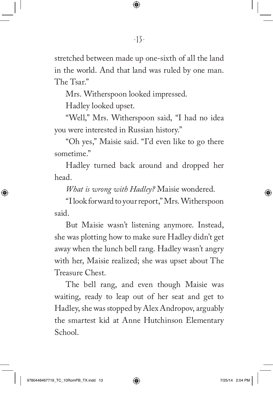stretched between made up one-sixth of all the land in the world. And that land was ruled by one man. The Tsar."

Mrs. Witherspoon looked impressed.

Hadley looked upset.

"Well," Mrs. Witherspoon said, "I had no idea you were interested in Russian history."

"Oh yes," Maisie said. "I'd even like to go there sometime."

Hadley turned back around and dropped her head.

*What is wrong with Hadley?* Maisie wondered.

"I look forward to your report," Mrs. Witherspoon said.

But Maisie wasn't listening anymore. Instead, she was plotting how to make sure Hadley didn't get away when the lunch bell rang. Hadley wasn't angry with her, Maisie realized; she was upset about The Treasure Chest.

The bell rang, and even though Maisie was waiting, ready to leap out of her seat and get to Hadley, she was stopped by Alex Andropov, arguably the smartest kid at Anne Hutchinson Elementary School.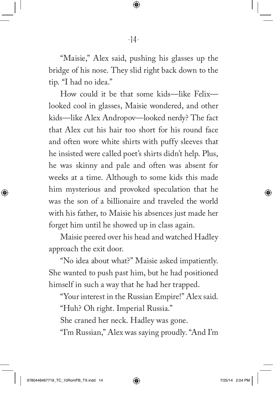"Maisie," Alex said, pushing his glasses up the bridge of his nose. They slid right back down to the tip. "I had no idea."

How could it be that some kids—like Felix looked cool in glasses, Maisie wondered, and other kids—like Alex Andropov—looked nerdy? The fact that Alex cut his hair too short for his round face and often wore white shirts with puffy sleeves that he insisted were called poet's shirts didn't help. Plus, he was skinny and pale and often was absent for weeks at a time. Although to some kids this made him mysterious and provoked speculation that he was the son of a billionaire and traveled the world with his father, to Maisie his absences just made her forget him until he showed up in class again.

Maisie peered over his head and watched Hadley approach the exit door.

"No idea about what?" Maisie asked impatiently. She wanted to push past him, but he had positioned himself in such a way that he had her trapped.

"Your interest in the Russian Empire!" Alex said.

"Huh? Oh right. Imperial Russia."

She craned her neck. Hadley was gone.

"I'm Russian," Alex was saying proudly. "And I'm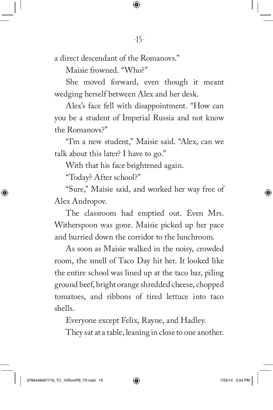a direct descendant of the Romanovs."

Maisie frowned. "Who?"

She moved forward, even though it meant wedging herself between Alex and her desk.

Alex's face fell with disappointment. "How can you be a student of Imperial Russia and not know the Romanovs?"

"I'm a new student," Maisie said. "Alex, can we talk about this later? I have to go."

With that his face brightened again.

"Today? After school?"

"Sure," Maisie said, and worked her way free of Alex Andropov.

The classroom had emptied out. Even Mrs. Witherspoon was gone. Maisie picked up her pace and hurried down the corridor to the lunchroom.

As soon as Maisie walked in the noisy, crowded room, the smell of Taco Day hit her. It looked like the entire school was lined up at the taco bar, piling ground beef, bright orange shredded cheese, chopped tomatoes, and ribbons of tired lettuce into taco shells.

Everyone except Felix, Rayne, and Hadley.

They sat at a table, leaning in close to one another.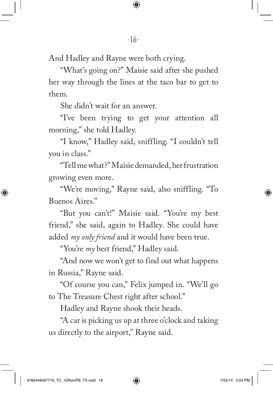And Hadley and Rayne were both crying.

"What's going on?" Maisie said after she pushed her way through the lines at the taco bar to get to them.

She didn't wait for an answer.

"I've been trying to get your attention all morning," she told Hadley.

"I know," Hadley said, sniffling. "I couldn't tell you in class."

"Tell me what?" Maisie demanded, her frustration growing even more.

"We're moving," Rayne said, also sniffling. "To Buenos Aires."

"But you can't!" Maisie said. "You're my best friend," she said, again to Hadley. She could have added *my only friend* and it would have been true.

"You're *my* best friend," Hadley said.

"And now we won't get to find out what happens in Russia," Rayne said.

"Of course you can," Felix jumped in. "We'll go to The Treasure Chest right after school."

Hadley and Rayne shook their heads.

"A car is picking us up at three o'clock and taking us directly to the airport," Rayne said.